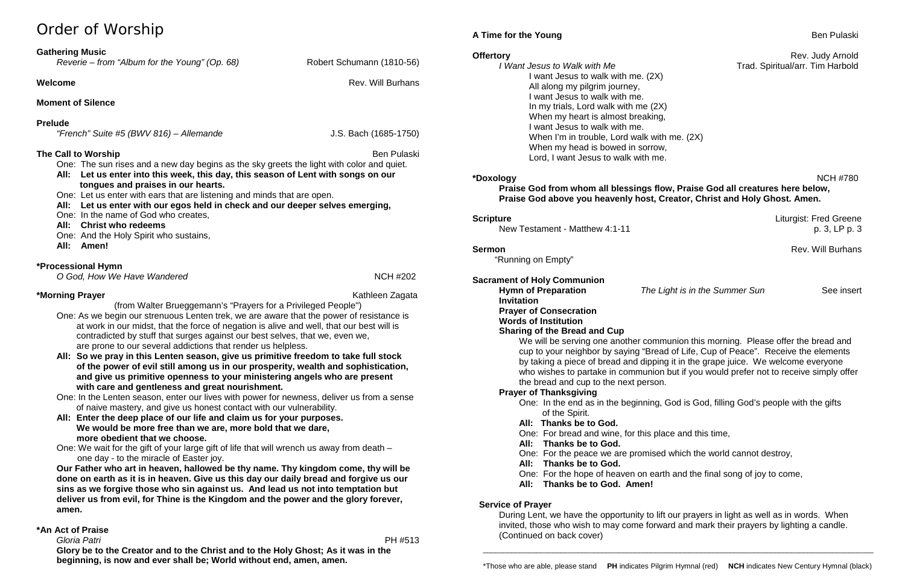# Order of Worship

# **Gathering Music**

| Reverie - from "Album for the Young" (Op. 68) |  |  |  |  |  |
|-----------------------------------------------|--|--|--|--|--|
|-----------------------------------------------|--|--|--|--|--|

# **Welcome Rev. Will Burhans**

*Reverie – from "Album for the Young" (Op. 68)* Robert Schumann (1810-56)

**Moment of Silence** 

# **Prelude**

| "French" Suite #5 (BWV 816) – Allemande |  |  |
|-----------------------------------------|--|--|
|                                         |  |  |

# **The Call to Worship** Ben Pulaski

*"French" Suite #5 (BWV 816) – Allemande* J.S. Bach (1685-1750)

One: The sun rises and a new day begins as the sky greets the light with color and quiet.

- **All: Let us enter into this week, this day, this season of Lent with songs on our tongues and praises in our hearts.**
- One: Let us enter with ears that are listening and minds that are open.
- **All: Let us enter with our egos held in check and our deeper selves emerging,**
- One: In the name of God who creates,
- **All: Christ who redeems**
- One: And the Holy Spirit who sustains,
- **All: Amen!**

# **\*Processional Hymn**

*O God, How We Have Wandered* NCH #202

**\*Morning Prayer** Kathleen Zagata

(from Walter Brueggemann's "Prayers for a Privileged People")

- One: As we begin our strenuous Lenten trek, we are aware that the power of resistance is at work in our midst, that the force of negation is alive and well, that our best will is contradicted by stuff that surges against our best selves, that we, even we, are prone to our several addictions that render us helpless.
- **All: So we pray in this Lenten season, give us primitive freedom to take full stock of the power of evil still among us in our prosperity, wealth and sophistication, and give us primitive openness to your ministering angels who are present with care and gentleness and great nourishment.**
- One: In the Lenten season, enter our lives with power for newness, deliver us from a sense of naive mastery, and give us honest contact with our vulnerability.
- **All: Enter the deep place of our life and claim us for your purposes. We would be more free than we are, more bold that we dare, more obedient that we choose.**
- One: We wait for the gift of your large gift of life that will wrench us away from death one day - to the miracle of Easter joy.

**Our Father who art in heaven, hallowed be thy name. Thy kingdom come, thy will be done on earth as it is in heaven. Give us this day our daily bread and forgive us our sins as we forgive those who sin against us. And lead us not into temptation but deliver us from evil, for Thine is the Kingdom and the power and the glory forever, amen.**

# **\*An Act of Praise**

 *Gloria Patri* PH #513

**Glory be to the Creator and to the Christ and to the Holy Ghost; As it was in the beginning, is now and ever shall be; World without end, amen, amen.**

# **A Time for the Young Ben Pullaski Ben Pullaski Ben Pullaski Ben Pullaski Ben Pullaski**

I want Jesus to walk with me. (2X) All along my pilgrim journey, I want Jesus to walk with me. In my trials, Lord walk with me (2X) When my heart is almost breaking, I want Jesus to walk with me. When I'm in trouble, Lord walk with me. (2X) When my head is bowed in sorrow, Lord, I want Jesus to walk with me.

# **\*Doxology** NCH #780

**Scripture** Liturgist: Fred Greene

**Sermon** Rev. Will Burhans

**Praise God from whom all blessings flow, Praise God all creatures here below, Praise God above you heavenly host, Creator, Christ and Holy Ghost. Amen.**

New Testament - Matthew 4:1-11 p. 3, LP p. 3

"Running on Empty"

**Sacrament of Holy Communion Hymn of Preparation** *The Light is in the Summer Sun* See insert **Invitation Prayer of Consecration Words of Institution Sharing of the Bread and Cup** We will be serving one another communion this morning. Please offer the bread and cup to your neighbor by saying "Bread of Life, Cup of Peace". Receive the elements by taking a piece of bread and dipping it in the grape juice. We welcome everyone who wishes to partake in communion but if you would prefer not to receive simply offer the bread and cup to the next person. **Prayer of Thanksgiving** One: In the end as in the beginning, God is God, filling God's people with the gifts of the Spirit. **All: Thanks be to God.** One: For bread and wine, for this place and this time, **All: Thanks be to God.** One: For the peace we are promised which the world cannot destroy, **All: Thanks be to God.** One: For the hope of heaven on earth and the final song of joy to come, **All: Thanks be to God. Amen!**

**Service of Prayer** 

During Lent, we have the opportunity to lift our prayers in light as well as in words. When invited, those who wish to may come forward and mark their prayers by lighting a candle. (Continued on back cover)

\_\_\_\_\_\_\_\_\_\_\_\_\_\_\_\_\_\_\_\_\_\_\_\_\_\_\_\_\_\_\_\_\_\_\_\_\_\_\_\_\_\_\_\_\_\_\_\_\_\_\_\_\_\_\_\_\_\_\_\_\_\_\_\_\_\_\_\_\_\_\_\_\_\_\_\_\_\_\_\_\_\_\_\_\_\_\_\_\_\_\_\_\_\_\_

**Offertory** Rev. Judy Arnold<br>*I Want Jesus to Walk with Me* Trad. Spiritual/arr. Tim Harbold *I* **Trad. Spiritual/arr. Tim Harbold**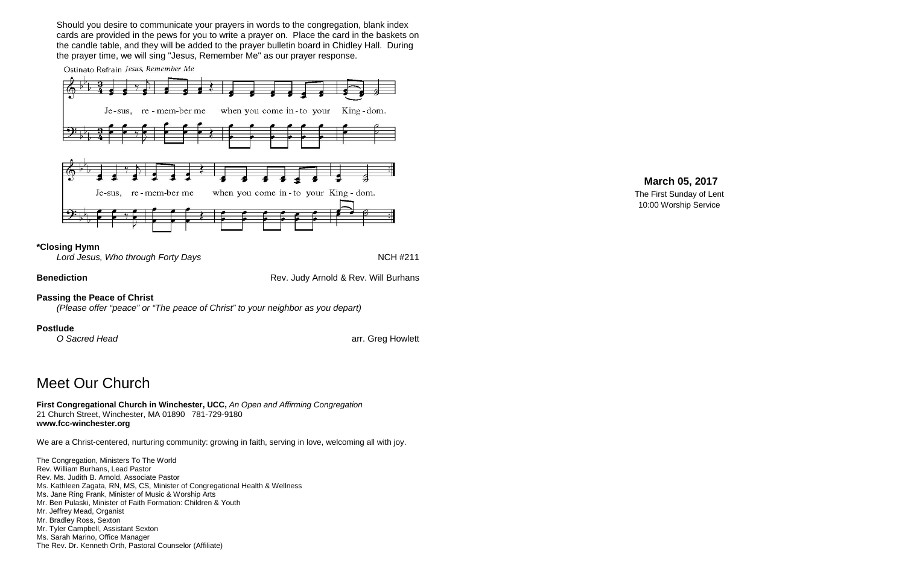Should you desire to communicate your prayers in words to the congregation, blank index cards are provided in the pews for you to write a prayer on. Place the card in the baskets on the candle table, and they will be added to the prayer bulletin board in Chidley Hall. During the prayer time, we will sing "Jesus, Remember Me" as our prayer response.





### **\*Closing Hymn**

Lord Jesus, Who through Forty Days **NAMES NAMES NAMES NAMES NAMES NAMES NAMES NAMES N** 

**Benediction Benediction Rev. Judy Arnold & Rev. Will Burhans** 

# **Passing the Peace of Christ**

*(Please offer "peace" or "The peace of Christ" to your neighbor as you depart)*

**Postlude**<br>O Sacred Head

arr. Greg Howlett

# Meet Our Church

**First Congregational Church in Winchester, UCC,** *An Open and Affirming Congregation* 21 Church Street, Winchester, MA 01890 781-729-9180 **www.fcc-winchester.org**

We are a Christ-centered, nurturing community: growing in faith, serving in love, welcoming all with joy.

The Congregation, Ministers To The World Rev. William Burhans, Lead Pastor Rev. Ms. Judith B. Arnold, Associate Pastor Ms. Kathleen Zagata, RN, MS, CS, Minister of Congregational Health & Wellness Ms. Jane Ring Frank, Minister of Music & Worship Arts Mr. Ben Pulaski, Minister of Faith Formation: Children & Youth Mr. Jeffrey Mead, Organist Mr. Bradley Ross, Sexton Mr. Tyler Campbell, Assistant Sexton Ms. Sarah Marino, Office Manager The Rev. Dr. Kenneth Orth, Pastoral Counselor (Affiliate)

# **March 05, 2017**

The First Sunday of Lent 10:00 Worship Service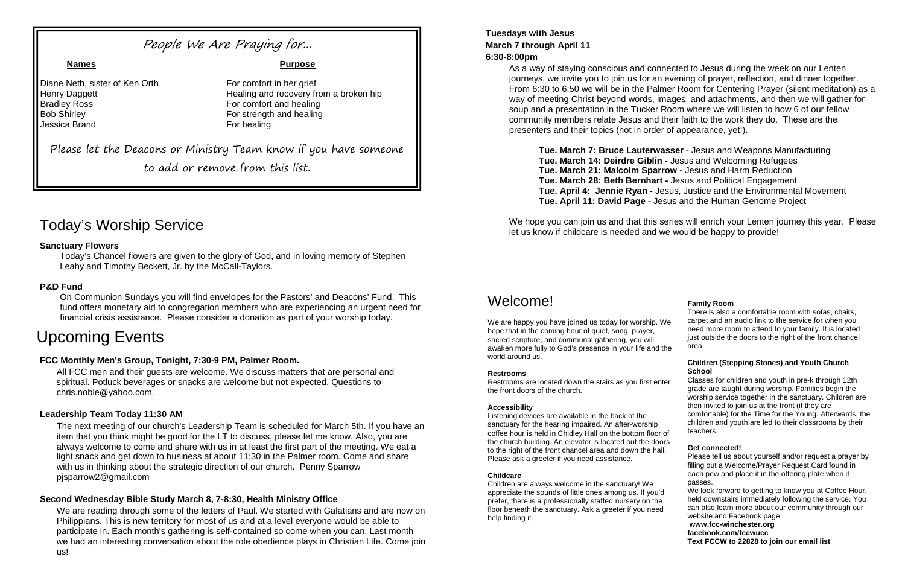# Today's Worship Service

# **Sanctuary Flowers**

Today's Chancel flowers are given to the glory of God, and in loving memory of Stephen Leahy and Timothy Beckett, Jr. by the McCall-Taylors.

# **P&D Fund**

On Communion Sundays you will find envelopes for the Pastors' and Deacons' Fund. This fund offers monetary aid to congregation members who are experiencing an urgent need for financial crisis assistance. Please consider a donation as part of your worship today.

# Upcoming Events

# **FCC Monthly Men's Group, Tonight, 7:30-9 PM, Palmer Room.**

All FCC men and their guests are welcome. We discuss matters that are personal and spiritual. Potluck beverages or snacks are welcome but not expected. Questions to chris.noble@yahoo.com.

# **Leadership Team Today 11:30 AM**

The next meeting of our church's Leadership Team is scheduled for March 5th. If you have an item that you think might be good for the LT to discuss, please let me know. Also, you are always welcome to come and share with us in at least the first part of the meeting. We eat a light snack and get down to business at about 11:30 in the Palmer room. Come and share with us in thinking about the strategic direction of our church. Penny Sparrow pjsparrow2@gmail.com

### **Second Wednesday Bible Study March 8, 7-8:30, Health Ministry Office**

We hope you can join us and that this series will enrich your Lenten journey this year. Please let us know if childcare is needed and we would be happy to provide!

We are reading through some of the letters of Paul. We started with Galatians and are now on Philippians. This is new territory for most of us and at a level everyone would be able to participate in. Each month's gathering is self-contained so come when you can. Last month we had an interesting conversation about the role obedience plays in Christian Life. Come join us!

# **Tuesdays with Jesus March 7 through April 11 6:30-8:00pm**

We are happy you have joined us today for worship. We hope that in the coming hour of quiet, song, prayer, sacred scripture, and communal gathering, you will awaken more fully to God's presence in your life and the world around us.

Restrooms are located down the stairs as you first enterthe front doors of the church.

As a way of staying conscious and connected to Jesus during the week on our Lenten journeys, we invite you to join us for an evening of prayer, reflection, and dinner together. From 6:30 to 6:50 we will be in the Palmer Room for Centering Prayer (silent meditation) as a way of meeting Christ beyond words, images, and attachments, and then we will gather for soup and a presentation in the Tucker Room where we will listen to how 6 of our fellow community members relate Jesus and their faith to the work they do. These are the presenters and their topics (not in order of appearance, yet!).

**Tue. March 7: Bruce Lauterwasser -** Jesus and Weapons Manufacturing **Tue. March 14: Deirdre Giblin -** Jesus and Welcoming Refugees **Tue. March 21: Malcolm Sparrow -** Jesus and Harm Reduction **Tue. March 28: Beth Bernhart -** Jesus and Political Engagement **Tue. April 4: Jennie Ryan -** Jesus, Justice and the Environmental Movement **Tue. April 11: David Page -** Jesus and the Human Genome Project

# People We Are Praying for...

Diane Neth, sister of Ken Orth For comfort in her grief **Bradley Ross** For comfort and healing **Bob Shirley For strength and healing** Jessica Brand For healing

**Names Purpose**

Henry Daggett Healing and recovery from a broken hip

Please let the Deacons or Ministry Team know if you have someone

to add or remove from this list.

# Welcome!

### **Restrooms**

### **Accessibility**

Listening devices are available in the back of the sanctuary for the hearing impaired. An after-worship coffee hour is held in Chidley Hall on the bottom floor the church building. An elevator is located out the door to the right of the front chancel area and down the hall. Please ask a greeter if you need assistance.

### **Childcare**

Children are always welcome in the sanctuary! We appreciate the sounds of little ones among us. If you'd prefer, there is a professionally staffed nursery on the floor beneath the sanctuary. Ask a greeter if you need help finding it.

### **Family Room**

| Ve<br>he | There is also a comfortable room with sofas, chairs,<br>carpet and an audio link to the service for when you<br>need more room to attend to your family. It is located<br>just outside the doors to the right of the front chancel<br>area.                                                                                                                               |
|----------|---------------------------------------------------------------------------------------------------------------------------------------------------------------------------------------------------------------------------------------------------------------------------------------------------------------------------------------------------------------------------|
|          | <b>Children (Stepping Stones) and Youth Church</b>                                                                                                                                                                                                                                                                                                                        |
| ter      | School<br>Classes for children and youth in pre-k through 12th<br>grade are taught during worship. Families begin the<br>worship service together in the sanctuary. Children are<br>then invited to join us at the front (if they are<br>comfortable) for the Time for the Young. Afterwards, the<br>children and youth are led to their classrooms by their<br>teachers. |
| of       |                                                                                                                                                                                                                                                                                                                                                                           |
| rs<br>I. | Get connected!                                                                                                                                                                                                                                                                                                                                                            |
|          | Please tell us about yourself and/or request a prayer by<br>filling out a Welcome/Prayer Request Card found in<br>each pew and place it in the offering plate when it<br>passes.                                                                                                                                                                                          |
|          | We look forward to getting to know you at Coffee Hour,<br>held downstairs immediately following the service. You                                                                                                                                                                                                                                                          |
|          | can also learn more about our community through our<br>website and Facebook page:                                                                                                                                                                                                                                                                                         |
|          | www.fcc-winchester.org                                                                                                                                                                                                                                                                                                                                                    |
|          | facebook.com/fccwucc                                                                                                                                                                                                                                                                                                                                                      |
|          | Text FCCW to 22828 to join our email list                                                                                                                                                                                                                                                                                                                                 |